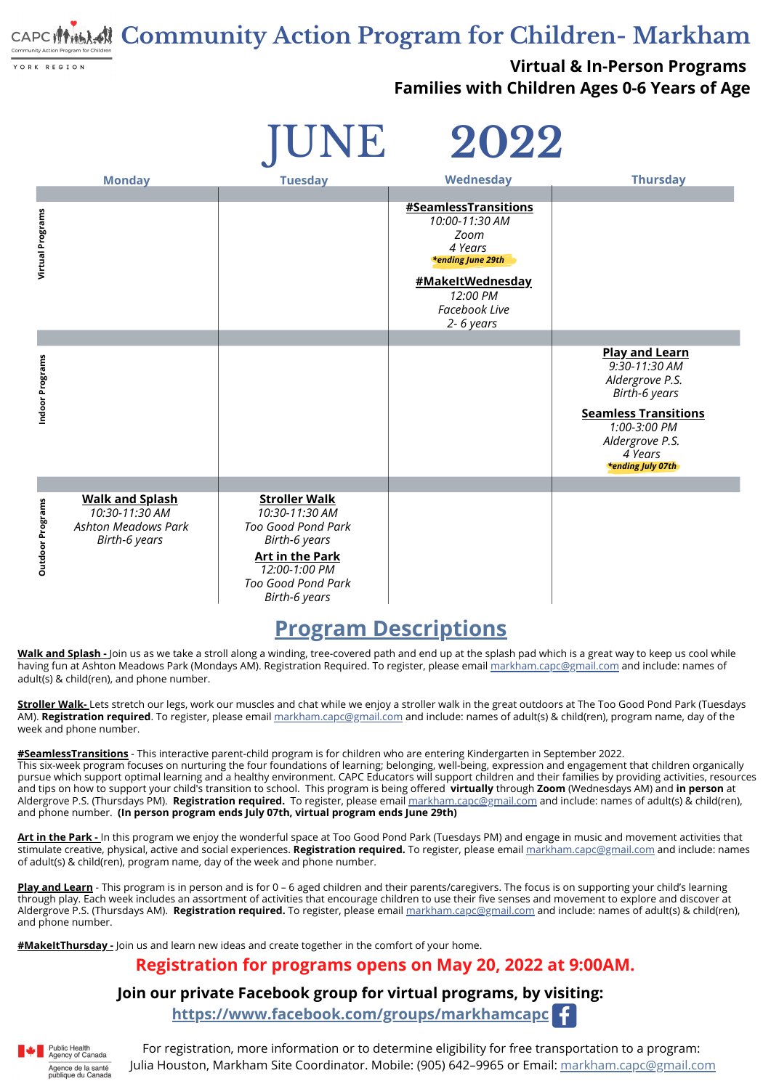## **Community Action Program for Children- Markham**

YORK REGION

**Virtual & In-Person Programs Families with Children Ages 0-6 Years of Age**

| TUNE |  |
|------|--|
|      |  |

#### **Join our private Facebook group for virtual programs, by visiting:**

**<https://www.facebook.com/groups/markhamcapc>**



#### **Registration for programs opens on May 20, 2022 at 9:00AM.**

#### **Program [Descriptions](mailto:markham.capc@gmail.com)**

**Walk and [Splash](mailto:georgina.capc@gmail.com) -** Join us as we take a stroll along a winding, tree-covered path and end up at the splash pad which is a great way to keep us cool while having fun at Ashton Meadows Park (Mondays AM). Registration Required. To register, please email [markham.capc@gmail.com](mailto:markham.capc@gmail.com) and include: names of adult(s) & child(ren), and phone number.

**[Stroller](https://www.facebook.com/groups/markhamcapc) Walk-** Lets stretch our legs, work our muscles and chat while we enjoy a stroller walk in the great outdoors at The Too Good Pond Park (Tuesdays AM). **[Registration](https://www.facebook.com/groups/markhamcapc) required**. To [register,](https://www.facebook.com/groups/markhamcapc) please email [markham.capc@gmail.com](https://www.facebook.com/groups/markhamcapc) and include: names of adult(s) & child(ren), program name, day of the week and phone number.

> For registration, more information or to determine eligibility for free transportation to a program: Julia Houston, Markham Site Coordinator. Mobile: (905) 642–9965 or Email: [markham.capc@gmail.com](mailto:markham.capc@gmail.com)

**[#SeamlessTransitions](https://www.facebook.com/groups/markhamcapc)** - This interactive parent-child program is for children who are entering [Kindergarten](https://www.facebook.com/groups/vaughancapc) in September 2022[.](https://www.facebook.com/groups/vaughancapc) This [six-week](https://www.facebook.com/groups/vaughancapc) program focuses on nurturing the four foundations of learning; belonging, well-being, expression and engagement that children organically pursue which support optimal learning and a healthy [environment.](https://www.facebook.com/groups/vaughancapc) CAPC Educators will support children and their families by providing activities, resources and tips on how to support your child's transition to sch[o](https://www.facebook.com/groups/vaughancapc)ol. This program is being offered **virtually** through **Zoom** (Wednesdays AM) and **in person** at Aldergrove P.S. (Thursdays PM). **[Registration](https://www.facebook.com/groups/vaughancapc) required.** To [register,](https://www.facebook.com/groups/vaughancapc) please email [m](https://www.facebook.com/groups/vaughancapc)[arkham.capc@gmail.co](mailto:markham.capc@gmail.com)[m](https://www.facebook.com/groups/vaughancapc) and include: names of adult(s) & child(ren), and phone number. **(In person program ends July 07th, virtual program ends June 29th)**

|                         | <b>Monday</b>                                                                                  | <b>Tuesday</b>                                                                                                                         | Wednesday                                                                                                                                                  | <b>Thursday</b>                                                                                                                                                                            |
|-------------------------|------------------------------------------------------------------------------------------------|----------------------------------------------------------------------------------------------------------------------------------------|------------------------------------------------------------------------------------------------------------------------------------------------------------|--------------------------------------------------------------------------------------------------------------------------------------------------------------------------------------------|
| <b>Virtual Programs</b> |                                                                                                |                                                                                                                                        | <b>#SeamlessTransitions</b><br>10:00-11:30 AM<br>Zoom<br>4 Years<br><b>*ending June 29th</b><br>#MakeItWednesday<br>12:00 PM<br>Facebook Live<br>2-6 years |                                                                                                                                                                                            |
| Indoor Programs         |                                                                                                |                                                                                                                                        |                                                                                                                                                            | <b>Play and Learn</b><br>9:30-11:30 AM<br>Aldergrove P.S.<br><b>Birth-6 years</b><br><b>Seamless Transitions</b><br>1:00-3:00 PM<br>Aldergrove P.S.<br>4 Years<br><b>*ending July 07th</b> |
| <b>Outdoor Programs</b> | <b>Walk and Splash</b><br>10:30-11:30 AM<br><b>Ashton Meadows Park</b><br><b>Birth-6 years</b> | <b>Stroller Walk</b><br>10:30-11:30 AM<br><b>Too Good Pond Park</b><br><b>Birth-6 years</b><br><b>Art in the Park</b><br>12:00-1:00 PM |                                                                                                                                                            |                                                                                                                                                                                            |

**Art in the [Park](mailto:markham.capc@gmail.com) -** In this program we enjoy the wonderful space at Too Good Pond Park (Tuesdays PM) and engage in music and movement activities that stimulate creative, physical, active and social experiences. **[Registration](https://www.facebook.com/groups/vaughancapc) required.** To [register,](https://www.facebook.com/groups/vaughancapc) please email [markham.capc@gmail.com](https://www.facebook.com/groups/vaughancapc) and include: names of adult(s) & child(ren), program name, day of the week and phone number.

**Play and [Learn](https://www.facebook.com/groups/markhamcapc)** - This program is in person and is for 0 – 6 aged children and their parents/caregivers. The focus is on supporting your child's learning through play. Each week includ[es](https://www.facebook.com/groups/vaughancapc) an assortment of activities that encourage children to use their five senses and movement to explore and discover at Aldergrove P.S. (Thursdays AM). **[Registration](https://www.facebook.com/groups/vaughancapc) required.** To [register,](https://www.facebook.com/groups/vaughancapc) please email [markham.capc@gmail.com](https://www.facebook.com/groups/vaughancapc) and include: names of adult(s) & child(ren), and phone number.

**[#](https://www.facebook.com/groups/GeorginaCAPC)[MakeItThursday](https://www.facebook.com/groups/markhamCAPC) [-](https://www.facebook.com/groups/GeorginaCAPC)** Join us and learn new ideas and create [together](https://www.facebook.com/groups/GeorginaCAPC) in the comfort of your home.

# JUNE **2022**

*Too Good Pond Park Birth-6 years*